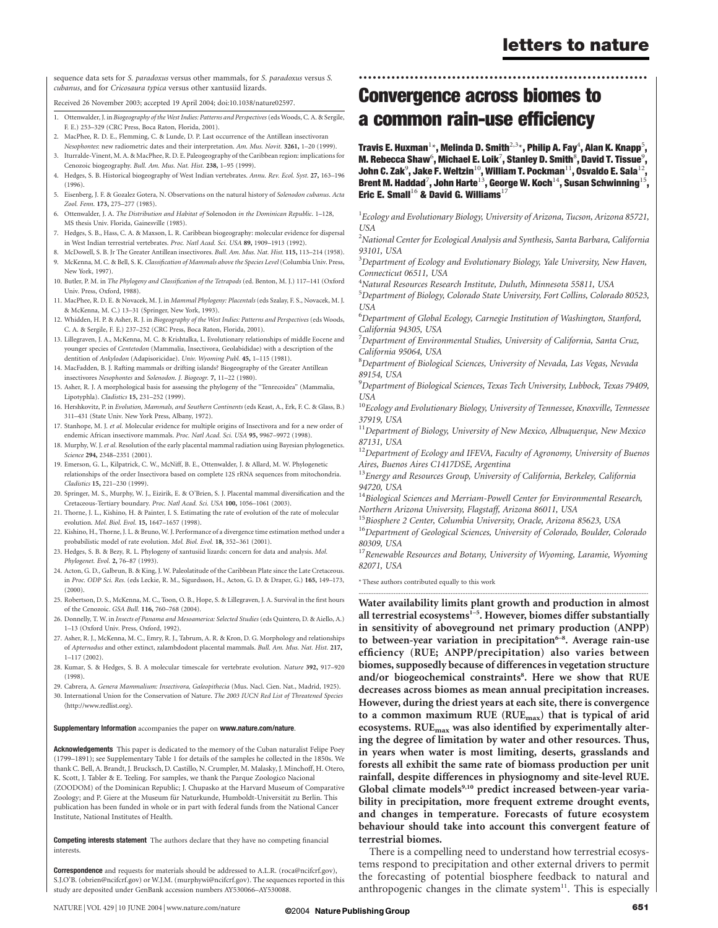sequence data sets for S. paradoxus versus other mammals, for S. paradoxus versus S. cubanus, and for Cricosaura typica versus other xantusiid lizards.

Received 26 November 2003; accepted 19 April 2004; doi:10.1038/nature02597.

- 1. Ottenwalder, J. in Biogeography of the West Indies: Patterns and Perspectives(eds Woods, C. A. & Sergile, F. E.) 253–329 (CRC Press, Boca Raton, Florida, 2001).
- 2. MacPhee, R. D. E., Flemming, C. & Lunde, D. P. Last occurrence of the Antillean insectivoran
- Nesophontes: new radiometric dates and their interpretation. Am. Mus. Novit. 3261, 1–20 (1999).
- 3. Iturralde-Vinent, M. A. & MacPhee, R. D. E. Paleogeography of the Caribbean region: implications for Cenozoic biogeography. Bull. Am. Mus. Nat. Hist. 238, 1–95 (1999).
- 4. Hedges, S. B. Historical biogeography of West Indian vertebrates. Annu. Rev. Ecol. Syst. 27, 163–196 (1996).
- 5. Eisenberg, J. F. & Gozalez Gotera, N. Observations on the natural history of Solenodon cubanus. Acta Zool. Fenn. 173, 275–277 (1985).
- 6. Ottenwalder, J. A. The Distribution and Habitat of Solenodon in the Dominican Republic. 1–128, MS thesis Univ. Florida, Gainesville (1985).
- 7. Hedges, S. B., Hass, C. A. & Maxson, L. R. Caribbean biogeography: molecular evidence for dispersal in West Indian terrestrial vertebrates. Proc. Natl Acad. Sci. USA 89, 1909–1913 (1992).
- 8. McDowell, S. B. Jr The Greater Antillean insectivores. Bull. Am. Mus. Nat. Hist. 115, 113–214 (1958).
- 9. McKenna, M. C. & Bell, S. K. Classification of Mammals above the Species Level (Columbia Univ. Press, New York, 1997).
- 10. Butler, P. M. in The Phylogeny and Classification of the Tetrapods (ed. Benton, M. J.) 117–141 (Oxford Univ. Press, Oxford, 1988).
- 11. MacPhee, R. D. E. & Novacek, M. J. in Mammal Phylogeny: Placentals (eds Szalay, F. S., Novacek, M. J. & McKenna, M. C.) 13–31 (Springer, New York, 1993).
- 12. Whidden, H. P. & Asher, R. J. in Biogeography of the West Indies: Patterns and Perspectives (eds Woods, C. A. & Sergile, F. E.) 237–252 (CRC Press, Boca Raton, Florida, 2001).
- 13. Lillegraven, J. A., McKenna, M. C. & Krishtalka, L. Evolutionary relationships of middle Eocene and younger species of Centetodon (Mammalia, Insectivora, Geolabididae) with a description of the dentition of Ankylodon (Adapisoricidae). Univ. Wyoming Publ. 45, 1-115 (1981).
- 14. MacFadden, B. J. Rafting mammals or drifting islands? Biogeography of the Greater Antillean insectivores Nesophontes and Solenodon. J. Biogeogr. 7, 11–22 (1980).
- 15. Asher, R. J. A morphological basis for assessing the phylogeny of the "Tenrecoidea" (Mammalia, Lipotyphla). Cladistics 15, 231–252 (1999).
- 16. Hershkovitz, P. in Evolution, Mammals, and Southern Continents (eds Keast, A., Erk, F. C. & Glass, B.) 311–431 (State Univ. New York Press, Albany, 1972).
- 17. Stanhope, M. J. et al. Molecular evidence for multiple origins of Insectivora and for a new order of endemic African insectivore mammals. Proc. Natl Acad. Sci. USA 95, 9967-9972 (1998).
- 18. Murphy, W. J. et al. Resolution of the early placental mammal radiation using Bayesian phylogenetics. Science 294, 2348–2351 (2001).
- 19. Emerson, G. L., Kilpatrick, C. W., McNiff, B. E., Ottenwalder, J. & Allard, M. W. Phylogenetic relationships of the order Insectivora based on complete 12S rRNA sequences from mitochondria. Cladistics 15, 221–230 (1999).
- 20. Springer, M. S., Murphy, W. J., Eizirik, E. & O'Brien, S. J. Placental mammal diversification and the Cretaceous-Tertiary boundary. Proc. Natl Acad. Sci. USA 100, 1056–1061 (2003).
- 21. Thorne, J. L., Kishino, H. & Painter, I. S. Estimating the rate of evolution of the rate of molecular evolution. Mol. Biol. Evol. 15, 1647–1657 (1998).
- 22. Kishino, H., Thorne, J. L. & Bruno, W. J. Performance of a divergence time estimation method under a probabilistic model of rate evolution. Mol. Biol. Evol. 18, 352–361 (2001).
- 23. Hedges, S. B. & Bezy, R. L. Phylogeny of xantusiid lizards: concern for data and analysis. Mol. Phylogenet. Evol. 2, 76–87 (1993).
- 24. Acton, G. D., Galbrun, B. & King, J. W. Paleolatitude of the Caribbean Plate since the Late Cretaceous. in Proc. ODP Sci. Res. (eds Leckie, R. M., Sigurdsson, H., Acton, G. D. & Draper, G.) 165, 149–173, (2000).
- 25. Robertson, D. S., McKenna, M. C., Toon, O. B., Hope, S. & Lillegraven, J. A. Survival in the first hours of the Cenozoic. GSA Bull. 116, 760–768 (2004).
- 26. Donnelly, T. W. in Insects of Panama and Mesoamerica: Selected Studies (eds Quintero, D. & Aiello, A.) 1–13 (Oxford Univ. Press, Oxford, 1992).
- 27. Asher, R. J., McKenna, M. C., Emry, R. J., Tabrum, A. R. & Kron, D. G. Morphology and relationships of Apternodus and other extinct, zalambdodont placental mammals. Bull. Am. Mus. Nat. Hist. 217, 1–117 (2002).
- 28. Kumar, S. & Hedges, S. B. A molecular timescale for vertebrate evolution. Nature 392, 917–920 (1998).
- 29. Cabrera, A. Genera Mammalium: Insectivora, Galeopithecia (Mus. Nacl. Cien. Nat., Madrid, 1925).
- 30. International Union for the Conservation of Nature. The 2003 IUCN Red List of Threatened Species (http://www.redlist.org).

#### Supplementary Information accompanies the paper on www.nature.com/nature.

Acknowledgements This paper is dedicated to the memory of the Cuban naturalist Felipe Poey (1799–1891); see Supplementary Table 1 for details of the samples he collected in the 1850s. We thank C. Bell, A. Brandt, J. Brucksch, D. Castillo, N. Crumpler, M. Malasky, J. Minchoff, H. Otero, K. Scott, J. Tabler & E. Teeling. For samples, we thank the Parque Zoologico Nacional (ZOODOM) of the Dominican Republic; J. Chupasko at the Harvard Museum of Comparative Zoology; and P. Giere at the Museum für Naturkunde, Humboldt-Universität zu Berlin. This publication has been funded in whole or in part with federal funds from the National Cancer .<br>Institute, National Institutes of Health.

Competing interests statement The authors declare that they have no competing financial interests.

**Correspondence** and requests for materials should be addressed to A.L.R. (roca@ncifcrf.gov), S.J.O'B. (obrien@ncifcrf.gov) or W.J.M. (murphywi@ncifcrf.gov). The sequences reported in this study are deposited under GenBank accession numbers AY530066–AY530088.

Travis E. Huxman $^{1\star}$ , Melinda D. Smith $^{2,3\star}$ , Philip A. Fay $^4$ , Alan K. Knapp $^5$ , M. Rebecca Shaw $^{\rm 6}$ , Michael E. Loik $^7$ , Stanley D. Smith $^{\rm 8}$ , David T. Tissue $^{\rm 9}$ , John C. Zak $^9$ , Jake F. Weltzin $^{10}$ , William T. Pockman $^{11}$ , Osvaldo E. Sala $^{12}$ , Brent M. Haddad $^7$ , John Harte $^{13}$ , George W. Koch $^{14}$ , Susan Schwinning $^{15}$ , Eric E. Small<sup>16</sup> & David G. Williams<sup>17</sup>

..............................................................

 $^1$ Ecology and Evolutionary Biology, University of Arizona, Tucson, Arizona 85721, USA

 $^2$ National Center for Ecological Analysis and Synthesis, Santa Barbara, California 93101, USA

<sup>3</sup>Department of Ecology and Evolutionary Biology, Yale University, New Haven, Connecticut 06511, USA

4 Natural Resources Research Institute, Duluth, Minnesota 55811, USA

<sup>5</sup>Department of Biology, Colorado State University, Fort Collins, Colorado 80523, **USA** 

6 Department of Global Ecology, Carnegie Institution of Washington, Stanford, California 94305, USA

 $^7$ Department of Environmental Studies, University of California, Santa Cruz, California 95064, USA

<sup>8</sup>Department of Biological Sciences, University of Nevada, Las Vegas, Nevada 89154, USA

9 Department of Biological Sciences, Texas Tech University, Lubbock, Texas 79409, **IISA** 

 $^{10}$ Ecology and Evolutionary Biology, University of Tennessee, Knoxville, Tennessee 37919, USA

 $11$ Department of Biology, University of New Mexico, Albuquerque, New Mexico 87131, USA

 $^{12}$ Department of Ecology and IFEVA, Faculty of Agronomy, University of Buenos Aires, Buenos Aires C1417DSE, Argentina

 $^{13}$ Energy and Resources Group, University of California, Berkeley, California 94720, USA

<sup>14</sup>Biological Sciences and Merriam-Powell Center for Environmental Research, Northern Arizona University, Flagstaff, Arizona 86011, USA

<sup>15</sup>Biosphere 2 Center, Columbia University, Oracle, Arizona 85623, USA

<sup>16</sup>Department of Geological Sciences, University of Colorado, Boulder, Colorado 80309, USA

 $17$ Renewable Resources and Botany, University of Wyoming, Laramie, Wyoming 82071, USA

\* These authors contributed equally to this work

............................................................................................................................................................................. Water availability limits plant growth and production in almost all terrestrial ecosystems $<sup>1-5</sup>$ . However, biomes differ substantially</sup> in sensitivity of aboveground net primary production (ANPP) to between-year variation in precipitation $6-8$ . Average rain-use efficiency (RUE; ANPP/precipitation) also varies between biomes, supposedly because of differences in vegetation structure and/or biogeochemical constraints<sup>8</sup>. Here we show that RUE decreases across biomes as mean annual precipitation increases. However, during the driest years at each site, there is convergence to a common maximum RUE (RUEmax) that is typical of arid ecosystems. RUE<sub>max</sub> was also identified by experimentally altering the degree of limitation by water and other resources. Thus, in years when water is most limiting, deserts, grasslands and forests all exhibit the same rate of biomass production per unit rainfall, despite differences in physiognomy and site-level RUE. Global climate models<sup>9,10</sup> predict increased between-year variability in precipitation, more frequent extreme drought events, and changes in temperature. Forecasts of future ecosystem behaviour should take into account this convergent feature of terrestrial biomes.

There is a compelling need to understand how terrestrial ecosystems respond to precipitation and other external drivers to permit the forecasting of potential biosphere feedback to natural and anthropogenic changes in the climate system $11$ . This is especially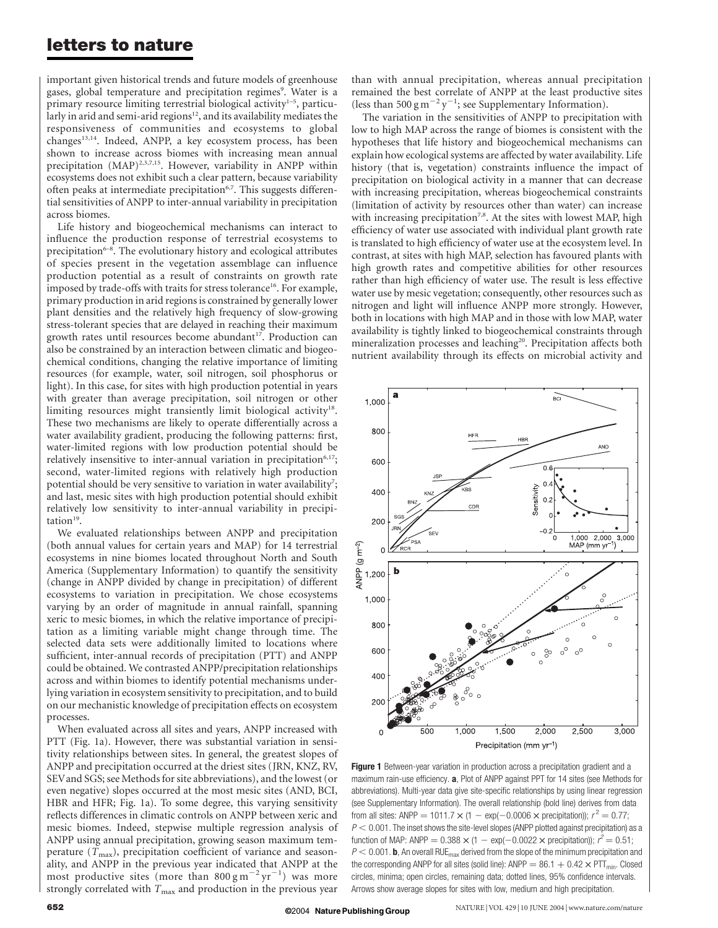## letters to nature

important given historical trends and future models of greenhouse gases, global temperature and precipitation regimes<sup>9</sup>. Water is a primary resource limiting terrestrial biological activity<sup>1-5</sup>, particularly in arid and semi-arid regions<sup>12</sup>, and its availability mediates the responsiveness of communities and ecosystems to global changes<sup>13,14</sup>. Indeed, ANPP, a key ecosystem process, has been shown to increase across biomes with increasing mean annual precipitation (MAP)<sup>2,3,7,15</sup>. However, variability in ANPP within ecosystems does not exhibit such a clear pattern, because variability often peaks at intermediate precipitation<sup>6,7</sup>. This suggests differential sensitivities of ANPP to inter-annual variability in precipitation across biomes.

Life history and biogeochemical mechanisms can interact to influence the production response of terrestrial ecosystems to precipitation $6-8$ . The evolutionary history and ecological attributes of species present in the vegetation assemblage can influence production potential as a result of constraints on growth rate imposed by trade-offs with traits for stress tolerance<sup>16</sup>. For example, primary production in arid regions is constrained by generally lower plant densities and the relatively high frequency of slow-growing stress-tolerant species that are delayed in reaching their maximum growth rates until resources become abundant<sup>17</sup>. Production can also be constrained by an interaction between climatic and biogeochemical conditions, changing the relative importance of limiting resources (for example, water, soil nitrogen, soil phosphorus or light). In this case, for sites with high production potential in years with greater than average precipitation, soil nitrogen or other limiting resources might transiently limit biological activity<sup>18</sup>. These two mechanisms are likely to operate differentially across a water availability gradient, producing the following patterns: first, water-limited regions with low production potential should be relatively insensitive to inter-annual variation in precipitation<sup> $6,17$ </sup>; second, water-limited regions with relatively high production potential should be very sensitive to variation in water availability<sup>7</sup>; and last, mesic sites with high production potential should exhibit relatively low sensitivity to inter-annual variability in precipitation $19$ .

We evaluated relationships between ANPP and precipitation (both annual values for certain years and MAP) for 14 terrestrial ecosystems in nine biomes located throughout North and South America (Supplementary Information) to quantify the sensitivity (change in ANPP divided by change in precipitation) of different ecosystems to variation in precipitation. We chose ecosystems varying by an order of magnitude in annual rainfall, spanning xeric to mesic biomes, in which the relative importance of precipitation as a limiting variable might change through time. The selected data sets were additionally limited to locations where sufficient, inter-annual records of precipitation (PTT) and ANPP could be obtained. We contrasted ANPP/precipitation relationships across and within biomes to identify potential mechanisms underlying variation in ecosystem sensitivity to precipitation, and to build on our mechanistic knowledge of precipitation effects on ecosystem processes.

When evaluated across all sites and years, ANPP increased with PTT (Fig. 1a). However, there was substantial variation in sensitivity relationships between sites. In general, the greatest slopes of ANPP and precipitation occurred at the driest sites (JRN, KNZ, RV, SEVand SGS; see Methods for site abbreviations), and the lowest (or even negative) slopes occurred at the most mesic sites (AND, BCI, HBR and HFR; Fig. 1a). To some degree, this varying sensitivity reflects differences in climatic controls on ANPP between xeric and mesic biomes. Indeed, stepwise multiple regression analysis of ANPP using annual precipitation, growing season maximum temperature  $(T_{\text{max}})$ , precipitation coefficient of variance and seasonality, and ANPP in the previous year indicated that ANPP at the most productive sites (more than  $800 \text{ g m}^{-2} \text{ yr}^{-1}$ ) was more strongly correlated with  $T_{\text{max}}$  and production in the previous year

than with annual precipitation, whereas annual precipitation remained the best correlate of ANPP at the least productive sites (less than 500 g m<sup>-2</sup> y<sup>-1</sup>; see Supplementary Information).

The variation in the sensitivities of ANPP to precipitation with low to high MAP across the range of biomes is consistent with the hypotheses that life history and biogeochemical mechanisms can explain how ecological systems are affected by water availability. Life history (that is, vegetation) constraints influence the impact of precipitation on biological activity in a manner that can decrease with increasing precipitation, whereas biogeochemical constraints (limitation of activity by resources other than water) can increase with increasing precipitation<sup>7,8</sup>. At the sites with lowest MAP, high efficiency of water use associated with individual plant growth rate is translated to high efficiency of water use at the ecosystem level. In contrast, at sites with high MAP, selection has favoured plants with high growth rates and competitive abilities for other resources rather than high efficiency of water use. The result is less effective water use by mesic vegetation; consequently, other resources such as nitrogen and light will influence ANPP more strongly. However, both in locations with high MAP and in those with low MAP, water availability is tightly linked to biogeochemical constraints through mineralization processes and leaching<sup>20</sup>. Precipitation affects both nutrient availability through its effects on microbial activity and



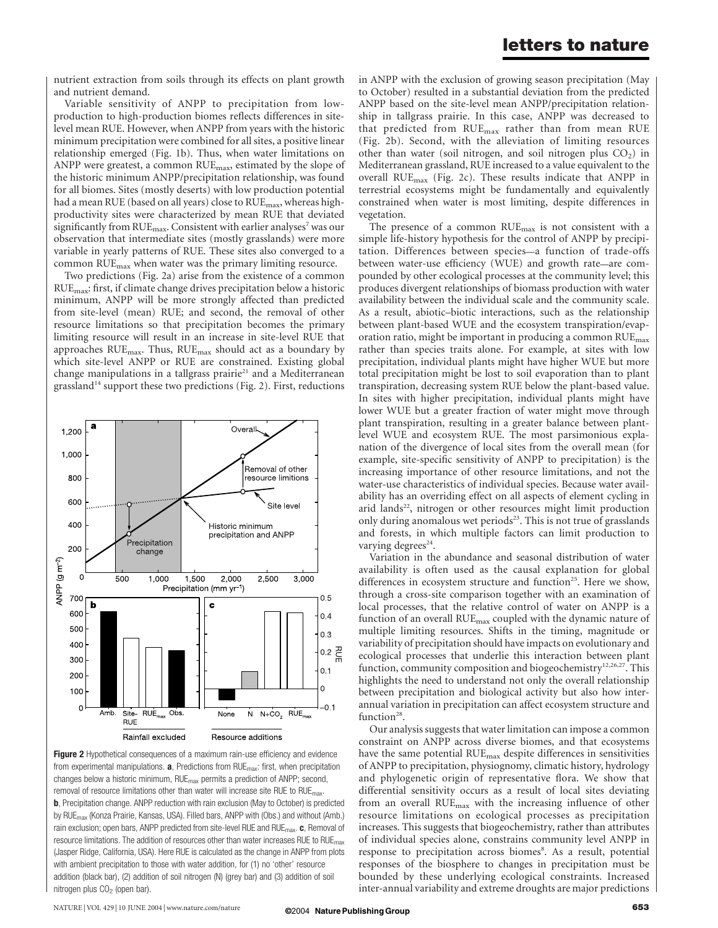### letters to nature

nutrient extraction from soils through its effects on plant growth and nutrient demand.

Variable sensitivity of ANPP to precipitation from lowproduction to high-production biomes reflects differences in sitelevel mean RUE. However, when ANPP from years with the historic minimum precipitation were combined for all sites, a positive linear relationship emerged (Fig. 1b). Thus, when water limitations on ANPP were greatest, a common RUE<sub>max</sub>, estimated by the slope of the historic minimum ANPP/precipitation relationship, was found for all biomes. Sites (mostly deserts) with low production potential had a mean RUE (based on all years) close to  $RUE_{\text{max}}$ , whereas highproductivity sites were characterized by mean RUE that deviated significantly from  $RUE_{\text{max}}$ . Consistent with earlier analyses<sup>7</sup> was our observation that intermediate sites (mostly grasslands) were more variable in yearly patterns of RUE. These sites also converged to a common RUE<sub>max</sub> when water was the primary limiting resource.

Two predictions (Fig. 2a) arise from the existence of a common RUEmax: first, if climate change drives precipitation below a historic minimum, ANPP will be more strongly affected than predicted from site-level (mean) RUE; and second, the removal of other resource limitations so that precipitation becomes the primary limiting resource will result in an increase in site-level RUE that approaches  $RUE<sub>max</sub>$ . Thus,  $RUE<sub>max</sub>$  should act as a boundary by which site-level ANPP or RUE are constrained. Existing global change manipulations in a tallgrass prairie<sup>21</sup> and a Mediterranean grassland<sup>14</sup> support these two predictions (Fig. 2). First, reductions



Figure 2 Hypothetical consequences of a maximum rain-use efficiency and evidence from experimental manipulations.  $\mathbf{a}$ , Predictions from RUE $_{\text{max}}$ : first, when precipitation changes below a historic minimum, RUEmax permits a prediction of ANPP; second, removal of resource limitations other than water will increase site RUE to RUE<sub>max</sub>. b, Precipitation change. ANPP reduction with rain exclusion (May to October) is predicted by RUE<sub>max</sub> (Konza Prairie, Kansas, USA). Filled bars, ANPP with (Obs.) and without (Amb.) rain exclusion; open bars, ANPP predicted from site-level RUE and RUE $_{\text{max}}$ . c, Removal of resource limitations. The addition of resources other than water increases RUE to  $RUE_{max}$ (Jasper Ridge, California, USA). Here RUE is calculated as the change in ANPP from plots with ambient precipitation to those with water addition, for (1) no 'other' resource addition (black bar), (2) addition of soil nitrogen (N) (grey bar) and (3) addition of soil nitrogen plus  $CO<sub>2</sub>$  (open bar).

in ANPP with the exclusion of growing season precipitation (May to October) resulted in a substantial deviation from the predicted ANPP based on the site-level mean ANPP/precipitation relationship in tallgrass prairie. In this case, ANPP was decreased to that predicted from RUEmax rather than from mean RUE (Fig. 2b). Second, with the alleviation of limiting resources other than water (soil nitrogen, and soil nitrogen plus  $CO<sub>2</sub>$ ) in Mediterranean grassland, RUE increased to a value equivalent to the overall  $RUE<sub>max</sub>$  (Fig. 2c). These results indicate that ANPP in terrestrial ecosystems might be fundamentally and equivalently constrained when water is most limiting, despite differences in vegetation.

The presence of a common RUE<sub>max</sub> is not consistent with a simple life-history hypothesis for the control of ANPP by precipitation. Differences between species—a function of trade-offs between water-use efficiency (WUE) and growth rate—are compounded by other ecological processes at the community level; this produces divergent relationships of biomass production with water availability between the individual scale and the community scale. As a result, abiotic–biotic interactions, such as the relationship between plant-based WUE and the ecosystem transpiration/evaporation ratio, might be important in producing a common  $RUE_{max}$ rather than species traits alone. For example, at sites with low precipitation, individual plants might have higher WUE but more total precipitation might be lost to soil evaporation than to plant transpiration, decreasing system RUE below the plant-based value. In sites with higher precipitation, individual plants might have lower WUE but a greater fraction of water might move through plant transpiration, resulting in a greater balance between plantlevel WUE and ecosystem RUE. The most parsimonious explanation of the divergence of local sites from the overall mean (for example, site-specific sensitivity of ANPP to precipitation) is the increasing importance of other resource limitations, and not the water-use characteristics of individual species. Because water availability has an overriding effect on all aspects of element cycling in arid lands<sup>22</sup>, nitrogen or other resources might limit production only during anomalous wet periods<sup>23</sup>. This is not true of grasslands and forests, in which multiple factors can limit production to varying degrees<sup>24</sup>.

Variation in the abundance and seasonal distribution of water availability is often used as the causal explanation for global differences in ecosystem structure and function<sup>25</sup>. Here we show, through a cross-site comparison together with an examination of local processes, that the relative control of water on ANPP is a function of an overall RUE<sub>max</sub> coupled with the dynamic nature of multiple limiting resources. Shifts in the timing, magnitude or variability of precipitation should have impacts on evolutionary and ecological processes that underlie this interaction between plant function, community composition and biogeochemistry<sup>12,26,27</sup>. This highlights the need to understand not only the overall relationship between precipitation and biological activity but also how interannual variation in precipitation can affect ecosystem structure and function $28$ .

Our analysis suggests that water limitation can impose a common constraint on ANPP across diverse biomes, and that ecosystems have the same potential RUE<sub>max</sub> despite differences in sensitivities of ANPP to precipitation, physiognomy, climatic history, hydrology and phylogenetic origin of representative flora. We show that differential sensitivity occurs as a result of local sites deviating from an overall  $RUE<sub>max</sub>$  with the increasing influence of other resource limitations on ecological processes as precipitation increases. This suggests that biogeochemistry, rather than attributes of individual species alone, constrains community level ANPP in response to precipitation across biomes<sup>8</sup>. As a result, potential responses of the biosphere to changes in precipitation must be bounded by these underlying ecological constraints. Increased inter-annual variability and extreme droughts are major predictions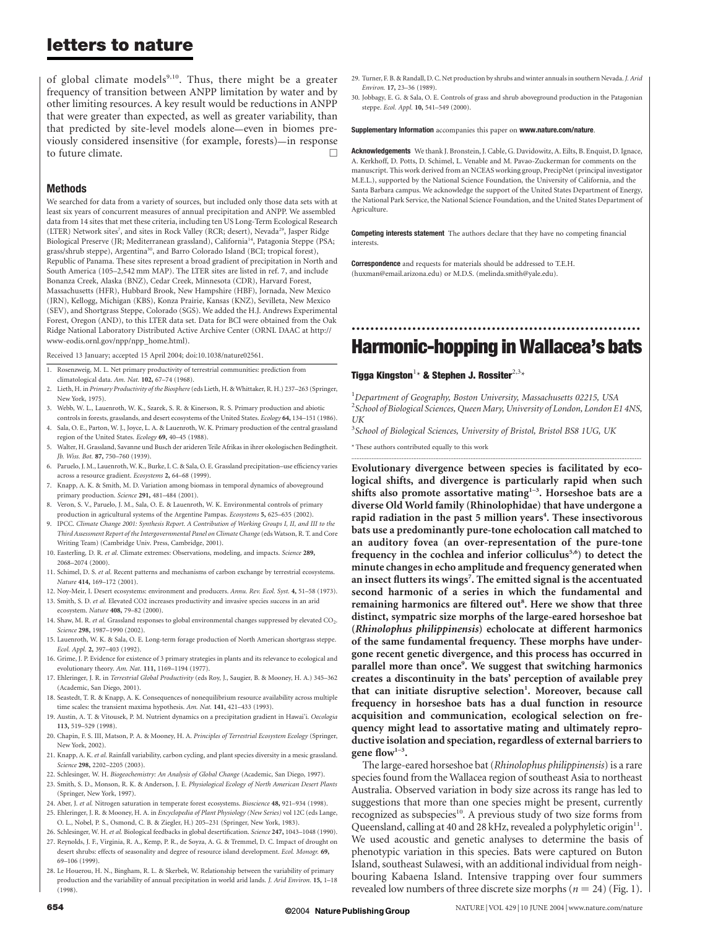# letters to nature

of global climate models<sup>9,10</sup>. Thus, there might be a greater frequency of transition between ANPP limitation by water and by other limiting resources. A key result would be reductions in ANPP that were greater than expected, as well as greater variability, than that predicted by site-level models alone—even in biomes previously considered insensitive (for example, forests)—in response to future climate.  $\Box$ 

### Methods

We searched for data from a variety of sources, but included only those data sets with at least six years of concurrent measures of annual precipitation and ANPP. We assembled data from 14 sites that met these criteria, including ten US Long-Term Ecological Research (LTER) Network sites<sup>7</sup>, and sites in Rock Valley (RCR; desert), Nevada<sup>29</sup>, Jasper Ridge Biological Preserve (JR; Mediterranean grassland), California<sup>14</sup>, Patagonia Steppe (PSA; grass/shrub steppe), Argentina<sup>30</sup>, and Barro Colorado Island (BCI; tropical forest), Republic of Panama. These sites represent a broad gradient of precipitation in North and South America (105–2,542 mm MAP). The LTER sites are listed in ref. 7, and include Bonanza Creek, Alaska (BNZ), Cedar Creek, Minnesota (CDR), Harvard Forest, Massachusetts (HFR), Hubbard Brook, New Hampshire (HBF), Jornada, New Mexico (JRN), Kellogg, Michigan (KBS), Konza Prairie, Kansas (KNZ), Sevilleta, New Mexico (SEV), and Shortgrass Steppe, Colorado (SGS). We added the H.J. Andrews Experimental Forest, Oregon (AND), to this LTER data set. Data for BCI were obtained from the Oak Ridge National Laboratory Distributed Active Archive Center (ORNL DAAC at http:// www-eodis.ornl.gov/npp/npp\_home.html).

Received 13 January; accepted 15 April 2004; doi:10.1038/nature02561.

- 1. Rosenzweig, M. L. Net primary productivity of terrestrial communities: prediction from climatological data. Am. Nat. 102, 67–74 (1968).
- 2. Lieth, H. in Primary Productivity of the Biosphere (eds Lieth, H. & Whittaker, R. H.) 237-263 (Springer, New York, 1975).
- 3. Webb, W. L., Lauenroth, W. K., Szarek, S. R. & Kinerson, R. S. Primary production and abiotic controls in forests, grasslands, and desert ecosystems of the United States. Ecology 64, 134–151 (1986).
- 4. Sala, O. E., Parton, W. J., Joyce, L. A. & Lauenroth, W. K. Primary production of the central grassland region of the United States. Ecology 69, 40–45 (1988).
- 5. Walter, H. Grassland, Savanne und Busch der arideren Teile Afrikas in ihrer okologischen Bedingtheit. Jb. Wiss. Bot. 87, 750–760 (1939).
- 6. Paruelo, J. M., Lauenroth, W. K., Burke, I. C. & Sala, O. E. Grassland precipitation–use efficiency varies across a resource gradient. Ecosystems 2, 64–68 (1999).
- 7. Knapp, A. K. & Smith, M. D. Variation among biomass in temporal dynamics of aboveground primary production. Science 291, 481–484 (2001).
- 8. Veron, S. V., Paruelo, J. M., Sala, O. E. & Lauenroth, W. K. Environmental controls of primary production in agricultural systems of the Argentine Pampas. Ecosystems 5, 625–635 (2002).
- 9. IPCC. Climate Change 2001: Synthesis Report. A Contribution of Working Groups I, II, and III to the Third Assessment Report of the Intergovernmental Panel on Climate Change(eds Watson, R. T. and Core Writing Team) (Cambridge Univ. Press, Cambridge, 2001).
- 10. Easterling, D. R. et al. Climate extremes: Observations, modeling, and impacts. Science 289, 2068–2074 (2000).
- 11. Schimel, D. S. et al. Recent patterns and mechanisms of carbon exchange by terrestrial ecosystems. Nature 414, 169–172 (2001).
- 12. Noy-Meir, I. Desert ecosystems: environment and producers. Annu. Rev. Ecol. Syst. 4, 51–58 (1973).
- 13. Smith, S. D. et al. Elevated CO2 increases productivity and invasive species success in an arid ecosystem. Nature 408, 79–82 (2000).
- 14. Shaw, M. R. et al. Grassland responses to global environmental changes suppressed by elevated CO<sub>2</sub>. Science 298, 1987-1990 (2002).
- 15. Lauenroth, W. K. & Sala, O. E. Long-term forage production of North American shortgrass steppe. Ecol. Appl. 2, 397–403 (1992).
- 16. Grime, J. P. Evidence for existence of 3 primary strategies in plants and its relevance to ecological and evolutionary theory. Am. Nat. 111, 1169–1194 (1977).
- 17. Ehleringer, J. R. in Terrestrial Global Productivity (eds Roy, J., Saugier, B. & Mooney, H. A.) 345–362 (Academic, San Diego, 2001).
- 18. Seastedt, T. R. & Knapp, A. K. Consequences of nonequilibrium resource availability across multiple time scales: the transient maxima hypothesis. Am. Nat. 141, 421–433 (1993).
- 19. Austin, A. T. & Vitousek, P. M. Nutrient dynamics on a precipitation gradient in Hawai'i. Oecologia 113, 519–529 (1998).
- 20. Chapin, F. S. III, Matson, P. A. & Mooney, H. A. Principles of Terrestrial Ecosystem Ecology (Springer, New York, 2002).
- 21. Knapp, A. K. et al. Rainfall variability, carbon cycling, and plant species diversity in a mesic grassland. Science 298, 2202–2205 (2003).
- 22. Schlesinger, W. H. Biogeochemistry: An Analysis of Global Change (Academic, San Diego, 1997).
- 23. Smith, S. D., Monson, R. K. & Anderson, J. E. Physiological Ecology of North American Desert Plants (Springer, New York, 1997).
- 24. Aber, J. et al. Nitrogen saturation in temperate forest ecosystems. Bioscience 48, 921-934 (1998).
- 25. Ehleringer, J. R. & Mooney, H. A. in Encyclopedia of Plant Physiology (New Series) vol 12C (eds Lange, O. L., Nobel, P. S., Osmond, C. B. & Ziegler, H.) 205–231 (Springer, New York, 1983).
- 26. Schlesinger, W. H. et al. Biological feedbacks in global desertification. Science 247, 1043-1048 (1990).
- 27. Reynolds, J. F., Virginia, R. A., Kemp, P. R., de Soyza, A. G. & Tremmel, D. C. Impact of drought on desert shrubs: effects of seasonality and degree of resource island development. Ecol. Monogr. 69, 69–106 (1999).
- 28. Le Houerou, H. N., Bingham, R. L. & Skerbek, W. Relationship between the variability of primary production and the variability of annual precipitation in world arid lands. J. Arid Environ. 15, 1–18 (1998).
- 29. Turner, F. B. & Randall, D. C. Net production by shrubs and winter annuals in southern Nevada. J. Arid Environ. 17, 23–36 (1989).
- 30. Jobbagy, E. G. & Sala, O. E. Controls of grass and shrub aboveground production in the Patagonian steppe. Ecol. Appl. 10, 541–549 (2000).

#### Supplementary Information accompanies this paper on www.nature.com/nature.

Acknowledgements We thank J. Bronstein, J. Cable, G. Davidowitz, A. Eilts, B. Enquist, D. Ignace, A. Kerkhoff, D. Potts, D. Schimel, L. Venable and M. Pavao-Zuckerman for comments on the manuscript. This work derived from an NCEAS working group, PrecipNet (principal investigator M.E.L.), supported by the National Science Foundation, the University of California, and the Santa Barbara campus. We acknowledge the support of the United States Department of Energy, the National Park Service, the National Science Foundation, and the United States Department of Agriculture.

**Competing interests statement** The authors declare that they have no competing financial interests.

**Correspondence** and requests for materials should be addressed to T.E.H. (huxman@email.arizona.edu) or M.D.S. (melinda.smith@yale.edu).

## .............................................................. Harmonic-hopping in Wallacea's bats

Tigga Kingston $^{1\star}$  & Stephen J. Rossiter $^{2,3\star}$ 

<sup>1</sup>Department of Geography, Boston University, Massachusetts 02215, USA <sup>2</sup>School of Biological Sciences, Queen Mary, University of London, London E1 4NS, UK

.............................................................................................................................................................................

<sup>3</sup>School of Biological Sciences, University of Bristol, Bristol BS8 1UG, UK

\* These authors contributed equally to this work

Evolutionary divergence between species is facilitated by ecological shifts, and divergence is particularly rapid when such shifts also promote assortative mating<sup>1-3</sup>. Horseshoe bats are a diverse Old World family (Rhinolophidae) that have undergone a rapid radiation in the past 5 million years<sup>4</sup>. These insectivorous bats use a predominantly pure-tone echolocation call matched to an auditory fovea (an over-representation of the pure-tone frequency in the cochlea and inferior colliculus<sup>5,6</sup>) to detect the minute changes in echo amplitude and frequency generated when an insect flutters its wings<sup>7</sup>. The emitted signal is the accentuated second harmonic of a series in which the fundamental and remaining harmonics are filtered out<sup>8</sup>. Here we show that three distinct, sympatric size morphs of the large-eared horseshoe bat (Rhinolophus philippinensis) echolocate at different harmonics of the same fundamental frequency. These morphs have undergone recent genetic divergence, and this process has occurred in parallel more than once<sup>9</sup>. We suggest that switching harmonics creates a discontinuity in the bats' perception of available prey that can initiate disruptive selection<sup>1</sup>. Moreover, because call frequency in horseshoe bats has a dual function in resource acquisition and communication, ecological selection on frequency might lead to assortative mating and ultimately reproductive isolation and speciation, regardless of external barriers to gene flow1–3.

The large-eared horseshoe bat (Rhinolophus philippinensis) is a rare species found from the Wallacea region of southeast Asia to northeast Australia. Observed variation in body size across its range has led to suggestions that more than one species might be present, currently recognized as subspecies<sup>10</sup>. A previous study of two size forms from Queensland, calling at 40 and 28 kHz, revealed a polyphyletic origin<sup>11</sup>. We used acoustic and genetic analyses to determine the basis of phenotypic variation in this species. Bats were captured on Buton Island, southeast Sulawesi, with an additional individual from neighbouring Kabaena Island. Intensive trapping over four summers revealed low numbers of three discrete size morphs ( $n = 24$ ) (Fig. 1).